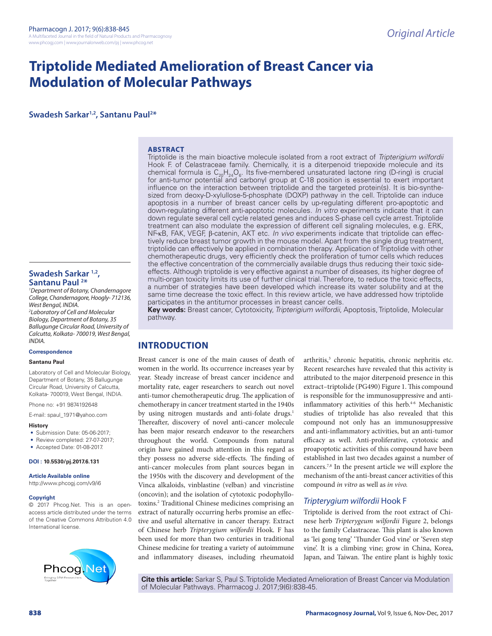# **Triptolide Mediated Amelioration of Breast Cancer via Modulation of Molecular Pathways**

**Swadesh Sarkar1,2, Santanu Paul2 \***

#### **ABSTRACT**

Triptolide is the main bioactive molecule isolated from a root extract of *Tripterigium wilfordii* Hook F. of Celastraceae family. Chemically, it is a diterpenoid triepoxide molecule and its chemical formula is  $C_{20}H_{24}O_6$ . Its five-membered unsaturated lactone ring (D-ring) is crucial for anti-tumor potential and carbonyl group at C-18 position is essential to exert important influence on the interaction between triptolide and the targeted protein(s). It is bio-synthesized from deoxy-D-xylullose-5-phosphate (DOXP) pathway in the cell. Triptolide can induce apoptosis in a number of breast cancer cells by up-regulating different pro-apoptotic and down-regulating different anti-apoptotic molecules. *In vitro* experiments indicate that it can down regulate several cell cycle related genes and induces S-phase cell cycle arrest. Triptolide treatment can also modulate the expression of different cell signaling molecules, e.g. ERK, NF-κB, FAK, VEGF, β-catenin, AKT etc. *In vivo* experiments indicate that triptolide can effectively reduce breast tumor growth in the mouse model. Apart from the single drug treatment, triptolide can effectively be applied in combination therapy. Application of Triptolide with other chemotherapeutic drugs, very efficiently check the proliferation of tumor cells which reduces the effective concentration of the commercially available drugs thus reducing their toxic sideeffects. Although triptolide is very effective against a number of diseases, its higher degree of multi-organ toxicity limits its use of further clinical trial. Therefore, to reduce the toxic effects, a number of strategies have been developed which increase its water solubility and at the same time decrease the toxic effect. In this review article, we have addressed how triptolide participates in the antitumor processes in breast cancer cells.

**Key words:** Breast cancer, Cytotoxicity, *Tripterigium wilfordii*, Apoptosis, Triptolide, Molecular pathway.

# **INTRODUCTION**

Breast cancer is one of the main causes of death of women in the world. Its occurrence increases year by year. Steady increase of breast cancer incidence and mortality rate, eager researchers to search out novel anti-tumor chemotherapeutic drug. The application of chemotherapy in cancer treatment started in the 1940s by using nitrogen mustards and anti-folate drugs.<sup>1</sup> Thereafter, discovery of novel anti-cancer molecule has been major research endeavor to the researchers throughout the world. Compounds from natural origin have gained much attention in this regard as they possess no adverse side-effects. The finding of anti-cancer molecules from plant sources began in the 1950s with the discovery and development of the Vinca alkaloids, vinblastine (velban) and vincristine (oncovin); and the isolation of cytotoxic podophyllotoxins.2 Traditional Chinese medicines comprising an extract of naturally occurring herbs promise an effective and useful alternative in cancer therapy. Extract of Chinese herb *Tripterygium wilfordii* Hook. F has been used for more than two centuries in traditional Chinese medicine for treating a variety of autoimmune and inflammatory diseases, including rheumatoid

arthritis,<sup>3</sup> chronic hepatitis, chronic nephritis etc. Recent researches have revealed that this activity is attributed to the major diterpenoid presence in this extract–triptolide (PG490) Figure 1. This compound is responsible for the immunosuppressive and antiinflammatory activities of this herb. $4-6$  Mechanistic studies of triptolide has also revealed that this compound not only has an immunosuppressive and anti-inflammatory activities, but an anti-tumor efficacy as well. Anti-proliferative, cytotoxic and proapoptotic activities of this compound have been established in last two decades against a number of cancers.7,8 In the present article we will explore the mechanism of the anti-breast cancer activities of this compound *in vitro* as well as *in vivo.*

#### *Tripterygium wilfordii* Hook F

Triptolide is derived from the root extract of Chinese herb *Tripterygeum wilfordii* Figure 2, belongs to the family Celastraceae. This plant is also known as 'lei gong teng' 'Thunder God vine' or 'Seven step vine'. It is a climbing vine; grow in China, Korea, Japan, and Taiwan. The entire plant is highly toxic

**Cite this article:** Sarkar S, Paul S. Triptolide Mediated Amelioration of Breast Cancer via Modulation of Molecular Pathways. Pharmacog J. 2017;9(6):838-45.

#### **Swadesh Sarkar 1,2, Santanu Paul 2 \***

*1 Department of Botany, Chandernagore College, Chandernagore, Hoogly- 712136, West Bengal, INDIA.*

*2 Laboratory of Cell and Molecular Biology, Department of Botany, 35 Ballugunge Circular Road, University of Calcutta, Kolkata- 700019, West Bengal, INDIA.*

#### **Correspondence**

#### **Santanu Paul**

Laboratory of Cell and Molecular Biology, Department of Botany, 35 Ballugunge Circular Road, University of Calcutta, Kolkata- 700019, West Bengal, INDIA.

Phone no: +91 9874192648

E-mail: spaul\_1971@yahoo.com

#### **History**

- Submission Date: 05-06-2017;
- Review completed: 27-07-2017;
- Accepted Date: 01-08-2017.

#### **DOI : 10.5530/pj.2017.6.131**

**Article Available online**  http://www.phcogj.com/v9/i6

#### **Copyright**

© 2017 Phcog.Net. This is an openaccess article distributed under the terms of the Creative Commons Attribution 4.0 International license.

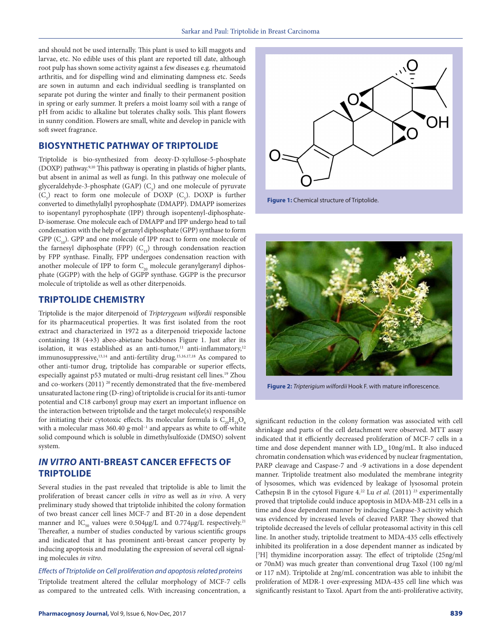and should not be used internally. This plant is used to kill maggots and larvae, etc. No edible uses of this plant are reported till date, although root pulp has shown some activity against a few diseases e.g. rheumatoid arthritis, and for dispelling wind and eliminating dampness etc. Seeds are sown in autumn and each individual seedling is transplanted on separate pot during the winter and finally to their permanent position in spring or early summer. It prefers a moist loamy soil with a range of pH from acidic to alkaline but tolerates chalky soils. This plant flowers in sunny condition. Flowers are small, white and develop in panicle with soft sweet fragrance.

# **BIOSYNTHETIC PATHWAY OF TRIPTOLIDE**

Triptolide is bio-synthesized from deoxy-D-xylullose-5-phosphate (DOXP) pathway.9,10 This pathway is operating in plastids of higher plants, but absent in animal as well as fungi. In this pathway one molecule of glyceraldehyde-3-phosphate (GAP)  $(C_3)$  and one molecule of pyruvate  $(C_3)$  react to form one molecule of DOXP  $(C_5)$ . DOXP is further converted to dimethylallyl pyrophosphate (DMAPP). DMAPP isomerizes to isopentanyl pyrophosphate (IPP) through isopentenyl-diphosphate-D-isomerase. One molecule each of DMAPP and IPP undergo head to tail condensation with the help of geranyl diphosphate (GPP) synthase to form GPP  $(C_{10})$ . GPP and one molecule of IPP react to form one molecule of the farnesyl diphosphate (FPP)  $(C_{15})$  through condensation reaction by FPP synthase. Finally, FPP undergoes condensation reaction with another molecule of IPP to form  $C_{20}$  molecule geranylgeranyl diphosphate (GGPP) with the help of GGPP synthase. GGPP is the precursor molecule of triptolide as well as other diterpenoids.

# **TRIPTOLIDE CHEMISTRY**

Triptolide is the major diterpenoid of *Tripterygeum wilfordii* responsible for its pharmaceutical properties. It was first isolated from the root extract and characterized in 1972 as a diterpenoid triepoxide lactone containing 18 (4→3) abeo-abietane backbones Figure 1. Just after its isolation, it was established as an anti-tumor,<sup>11</sup> anti-inflammatory,<sup>12</sup> immunosuppressive,13,14 and anti-fertility drug.15,16,17,18 As compared to other anti-tumor drug, triptolide has comparable or superior effects, especially against p53 mutated or multi-drug resistant cell lines.19 Zhou and co-workers (2011)<sup>20</sup> recently demonstrated that the five-membered unsaturated lactone ring (D-ring) of triptolide is crucial for its anti-tumor potential and C18 carbonyl group may exert an important influence on the interaction between triptolide and the target molecule(s) responsible for initiating their cytotoxic effects. Its molecular formula is  $C_{20}H_{24}O_6$ with a molecular mass 360.40 g·mol<sup>-1</sup> and appears as white to off-white solid compound which is soluble in dimethylsulfoxide (DMSO) solvent system.

# *IN VITRO* **ANTI-BREAST CANCER EFFECTS OF TRIPTOLIDE**

Several studies in the past revealed that triptolide is able to limit the proliferation of breast cancer cells *in vitro* as well as *in vivo*. A very preliminary study showed that triptolide inhibited the colony formation of two breast cancer cell lines MCF-7 and BT-20 in a dose dependent manner and IC<sub>50</sub> values were  $0.504\mu g/L$  and  $0.774\mu g/L$  respectively.<sup>21</sup> Thereafter, a number of studies conducted by various scientific groups and indicated that it has prominent anti-breast cancer property by inducing apoptosis and modulating the expression of several cell signaling molecules *in vitro*.

*Effects of Ttriptolide on Cell proliferation and apoptosis related proteins* Triptolide treatment altered the cellular morphology of MCF-7 cells as compared to the untreated cells. With increasing concentration, a



**Figure 1:** Chemical structure of Triptolide.



**Figure 2:** *Tripterigium wilfordii* Hook F. with mature inflorescence.

significant reduction in the colony formation was associated with cell shrinkage and parts of the cell detachment were observed. MTT assay indicated that it efficiently decreased proliferation of MCF-7 cells in a time and dose dependent manner with  $LD_{50} 10$ ng/mL. It also induced chromatin condensation which was evidenced by nuclear fragmentation, PARP cleavage and Caspase-7 and -9 activations in a dose dependent manner. Triptolide treatment also modulated the membrane integrity of lysosomes, which was evidenced by leakage of lysosomal protein Cathepsin B in the cytosol Figure 4.<sup>22</sup> Lu *et al.* (2011)<sup>23</sup> experimentally proved that triptolide could induce apoptosis in MDA-MB-231 cells in a time and dose dependent manner by inducing Caspase-3 activity which was evidenced by increased levels of cleaved PARP. They showed that triptolide decreased the levels of cellular proteasomal activity in this cell line. In another study, triptolide treatment to MDA-435 cells effectively inhibited its proliferation in a dose dependent manner as indicated by [3 H] thymidine incorporation assay. The effect of triptolide (25ng/ml or 70nM) was much greater than conventional drug Taxol (100 ng/ml or 117 nM). Triptolide at 2ng/mL concentration was able to inhibit the proliferation of MDR-1 over-expressing MDA-435 cell line which was significantly resistant to Taxol. Apart from the anti-proliferative activity,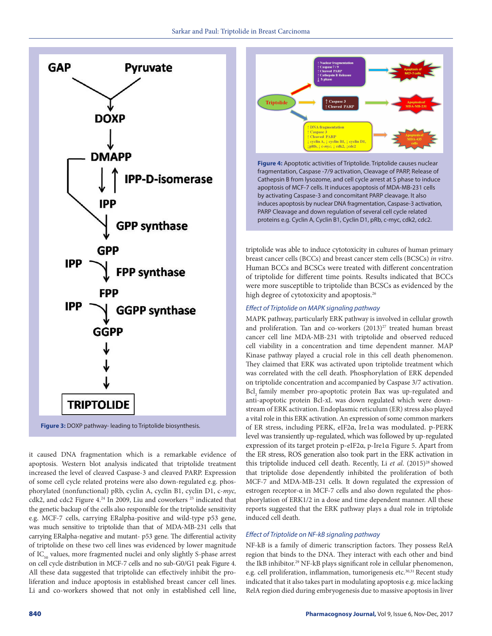

it caused DNA fragmentation which is a remarkable evidence of apoptosis. Western blot analysis indicated that triptolide treatment increased the level of cleaved Caspase-3 and cleaved PARP. Expression of some cell cycle related proteins were also down-regulated e.g. phosphorylated (nonfunctional) pRb, cyclin A, cyclin B1, cyclin D1, c-*myc,*  cdk2, and cdc2 Figure 4.<sup>24</sup> In 2009, Liu and coworkers<sup>25</sup> indicated that the genetic backup of the cells also responsible for the triptolide sensitivity e.g. MCF-7 cells, carrying ERalpha-positive and wild-type p53 gene, was much sensitive to triptolide than that of MDA-MB-231 cells that carrying ERalpha-negative and mutant- p53 gene. The differential activity of triptolide on these two cell lines was evidenced by lower magnitude of IC<sub>50</sub> values, more fragmented nuclei and only slightly S-phase arrest on cell cycle distribution in MCF-7 cells and no sub-G0/G1 peak Figure 4. All these data suggested that triptolide can effectively inhibit the proliferation and induce apoptosis in established breast cancer cell lines. Li and co-workers showed that not only in established cell line,



fragmentation, Caspase -7/9 activation, Cleavage of PARP, Release of Cathepsin B from lysozome, and cell cycle arrest at S phase to induce apoptosis of MCF-7 cells. It induces apoptosis of MDA-MB-231 cells by activating Caspase-3 and concomitant PARP cleavage. It also induces apoptosis by nuclear DNA fragmentation, Caspase-3 activation, PARP Cleavage and down regulation of several cell cycle related proteins e.g. Cyclin A, Cyclin B1, Cyclin D1, pRb, c-myc, cdk2, cdc2.

triptolide was able to induce cytotoxicity in cultures of human primary breast cancer cells (BCCs) and breast cancer stem cells (BCSCs) *in vitro*. Human BCCs and BCSCs were treated with different concentration of triptolide for different time points. Results indicated that BCCs were more susceptible to triptolide than BCSCs as evidenced by the high degree of cytotoxicity and apoptosis.<sup>26</sup>

#### *Effect of Triptolide on MAPK signaling pathway*

MAPK pathway, particularly ERK pathway is involved in cellular growth and proliferation. Tan and co-workers  $(2013)^{27}$  treated human breast cancer cell line MDA-MB-231 with triptolide and observed reduced cell viability in a concentration and time dependent manner. MAP Kinase pathway played a crucial role in this cell death phenomenon. They claimed that ERK was activated upon triptolide treatment which was correlated with the cell death. Phosphorylation of ERK depended on triptolide concentration and accompanied by Caspase 3/7 activation. Bcl, family member pro-apoptotic protein Bax was up-regulated and anti-apoptotic protein Bcl-xL was down regulated which were downstream of ERK activation. Endoplasmic reticulum (ER) stress also played a vital role in this ERK activation. An expression of some common markers of ER stress, including PERK, eIF2α, Ire1α was modulated. p-PERK level was transiently up-regulated, which was followed by up-regulated expression of its target protein p-eIF2α, p-Ire1α Figure 5. Apart from the ER stress, ROS generation also took part in the ERK activation in this triptolide induced cell death. Recently, Li et al. (2015)<sup>28</sup> showed that triptolide dose dependently inhibited the proliferation of both MCF-7 and MDA-MB-231 cells. It down regulated the expression of estrogen receptor-α in MCF-7 cells and also down regulated the phosphorylation of ERK1/2 in a dose and time dependent manner. All these reports suggested that the ERK pathway plays a dual role in triptolide induced cell death.

#### *Effect of Triptolide on NF-kB signaling pathway*

NF-kB is a family of dimeric transcription factors. They possess RelA region that binds to the DNA. They interact with each other and bind the IkB inhibitor.29 NF-kB plays significant role in cellular phenomenon, e.g. cell proliferation, inflammation, tumorigenesis etc.<sup>30,31</sup> Recent study indicated that it also takes part in modulating apoptosis e.g. mice lacking RelA region died during embryogenesis due to massive apoptosis in liver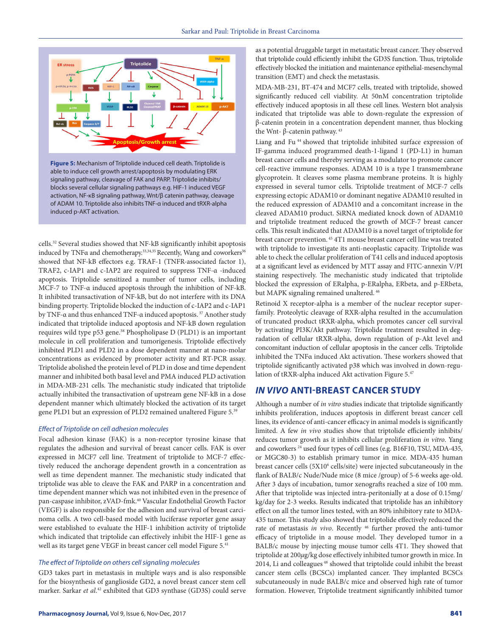

**Figure 5:** Mechanism of Triptolide induced cell death. Triptolide is able to induce cell growth arrest/apoptosis by modulating ERK signaling pathway, cleavage of FAK and PARP. Triptolide inhibits/ blocks several cellular signaling pathways e.g. HIF-1 induced VEGF activation, NF-κB signaling pathway, Wnt/β catenin pathway, cleavage of ADAM 10. Triptolide also inhibits TNF-α induced and tRXR-alpha induced p-AKT activation.

cells.32 Several studies showed that NF-kB significantly inhibit apoptosis induced by TNFα and chemotherapy.<sup>33,34,35</sup> Recently, Wang and coworkers<sup>36</sup> showed that NF-kB effectors e.g. TRAF-1 (TNFR-associated factor 1), TRAF2, c-IAP1 and c-IAP2 are required to suppress TNF-α -induced apoptosis. Triptolide sensitized a number of tumor cells, including MCF-7 to TNF-α induced apoptosis through the inhibition of NF-kB. It inhibited transactivation of NF-kB, but do not interfere with its DNA binding property. Triptolide blocked the induction of c-IAP2 and c-IAP1 by TNF-α and thus enhanced TNF-α induced apoptosis. 37 Another study indicated that triptolide induced apoptosis and NF-kB down regulation requires wild type p53 gene.<sup>38</sup> Phospholipase D (PLD1) is an important molecule in cell proliferation and tumorigenesis. Triptolide effectively inhibited PLD1 and PLD2 in a dose dependent manner at nano-molar concentrations as evidenced by promoter activity and RT-PCR assay. Triptolide abolished the protein level of PLD in dose and time dependent manner and inhibited both basal level and PMA induced PLD activation in MDA-MB-231 cells. The mechanistic study indicated that triptolide actually inhibited the transactivation of upstream gene NF-kB in a dose dependent manner which ultimately blocked the activation of its target gene PLD1 but an expression of PLD2 remained unaltered Figure 5.39

#### *Effect of Triptolide on cell adhesion molecules*

Focal adhesion kinase (FAK) is a non-receptor tyrosine kinase that regulates the adhesion and survival of breast cancer cells. FAK is over expressed in MCF7 cell line. Treatment of triptolide to MCF-7 effectively reduced the anchorage dependent growth in a concentration as well as time dependent manner. The mechanistic study indicated that triptolide was able to cleave the FAK and PARP in a concentration and time dependent manner which was not inhibited even in the presence of pan-caspase inhibitor, zVAD-fmk.40 Vascular Endothelial Growth Factor (VEGF) is also responsible for the adhesion and survival of breast carcinoma cells. A two cell-based model with luciferase reporter gene assay were established to evaluate the HIF-1 inhibition activity of triptolide which indicated that triptolide can effectively inhibit the HIF-1 gene as well as its target gene VEGF in breast cancer cell model Figure 5.41

#### *The effect of Triptolide on others cell signaling molecules*

GD3 takes part in metastasis in multiple ways and is also responsible for the biosynthesis of ganglioside GD2, a novel breast cancer stem cell marker. Sarkar *et al*. 42 exhibited that GD3 synthase (GD3S) could serve as a potential druggable target in metastatic breast cancer. They observed that triptolide could efficiently inhibit the GD3S function. Thus, triptolide effectively blocked the initiation and maintenance epithelial-mesenchymal transition (EMT) and check the metastasis.

MDA-MB-231, BT-474 and MCF7 cells, treated with triptolide, showed significantly reduced cell viability. At 50nM concentration triptolide effectively induced apoptosis in all these cell lines. Western blot analysis indicated that triptolide was able to down-regulate the expression of β-catenin protein in a concentration dependent manner, thus blocking the Wnt- β-catenin pathway. 43

Liang and Fu 44 showed that triptolide inhibited surface expression of IF-gamma induced programmed death-1-ligand 1 (PD-L1) in human breast cancer cells and thereby serving as a modulator to promote cancer cell-reactive immune responses. ADAM 10 is a type I transmembrane glycoprotein. It cleaves some plasma membrane proteins. It is highly expressed in several tumor cells. Triptolide treatment of MCF-7 cells expressing ectopic ADAM10 or dominant negative ADAM10 resulted in the reduced expression of ADAM10 and a concomitant increase in the cleaved ADAM10 product. SiRNA mediated knock down of ADAM10 and triptolide treatment reduced the growth of MCF-7 breast cancer cells. This result indicated that ADAM10 is a novel target of triptolide for breast cancer prevention. 45 4T1 mouse breast cancer cell line was treated with triptolide to investigate its anti-neoplastic capacity. Triptolide was able to check the cellular proliferation of T41 cells and induced apoptosis at a significant level as evidenced by MTT assay and FITC-annexin V/PI staining respectively. The mechanistic study indicated that triptolide blocked the expression of ERalpha, p-ERalpha, ERbeta, and p-ERbeta, but MAPK signaling remained unaltered. 46

Retinoid X receptor-alpha is a member of the nuclear receptor superfamily. Proteolytic cleavage of RXR-alpha resulted in the accumulation of truncated product tRXR-alpha, which promotes cancer cell survival by activating PI3K/Akt pathway. Triptolide treatment resulted in degradation of cellular tRXR-alpha, down regulation of p-Akt level and concomitant induction of cellular apoptosis in the cancer cells. Triptolide inhibited the TNFα induced Akt activation. These workers showed that triptolide significantly activated p38 which was involved in down-regulation of tRXR-alpha induced Akt activation Figure 5.47

#### *IN VIVO* **ANTI-BREAST CANCER STUDY**

Although a number of *in vitro* studies indicate that triptolide significantly inhibits proliferation, induces apoptosis in different breast cancer cell lines, its evidence of anti-cancer efficacy in animal models is significantly limited. A few *in vivo* studies show that triptolide efficiently inhibits/ reduces tumor growth as it inhibits cellular proliferation *in vitro*. Yang and coworkers 24 used four types of cell lines (e.g. B16F10, TSU, MDA-435, or MGC80-3) to establish primary tumor in mice. MDA-435 human breast cancer cells (5X10<sup>6</sup> cells/site) were injected subcutaneously in the flank of BALB/c Nude/Nude mice (8 mice /group) of 5-6 weeks age-old. After 3 days of incubation, tumor xenografts reached a size of 100 mm. After that triptolide was injected intra-peritonially at a dose of 0.15mg/ kg/day for 2-3 weeks. Results indicated that triptolide has an inhibitory effect on all the tumor lines tested, with an 80% inhibitory rate to MDA-435 tumor. This study also showed that triptolide effectively reduced the rate of metastasis *in vivo*. Recently <sup>46</sup> further proved the anti-tumor efficacy of triptolide in a mouse model. They developed tumor in a BALB/c mouse by injecting mouse tumor cells 4T1. They showed that triptolide at 200*µ*g/kg dose effectively inhibited tumor growth in mice. In 2014, Li and colleagues 48 showed that triptolide could inhibit the breast cancer stem cells (BCSCs) implanted cancer. They implanted BCSCs subcutaneously in nude BALB/c mice and observed high rate of tumor formation. However, Triptolide treatment significantly inhibited tumor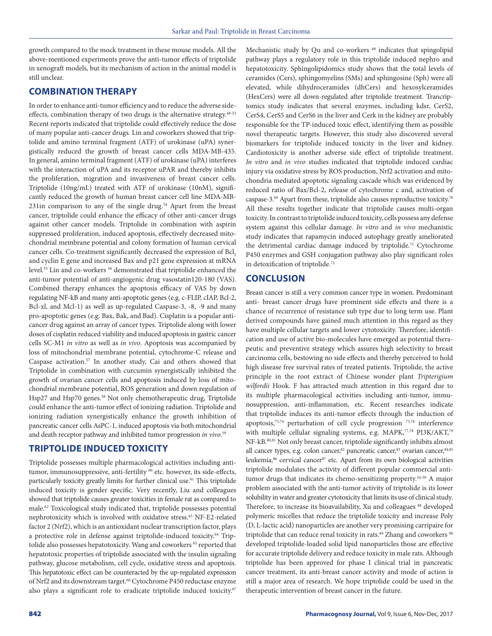growth compared to the mock treatment in these mouse models. All the above-mentioned experiments prove the anti-tumor effects of triptolide in xenograft models, but its mechanism of action in the animal model is still unclear.

# **COMBINATION THERAPY**

In order to enhance anti-tumor efficiency and to reduce the adverse sideeffects, combination therapy of two drugs is the alternative strategy.<sup>48-53</sup> Recent reports indicated that triptolide could effectively reduce the dose of many popular anti-cancer drugs. Lin and coworkers showed that triptolide and amino terminal fragment (ATF) of urokinase (uPA) synergistically reduced the growth of breast cancer cells MDA-MB-435. In general, amino terminal fragment (ATF) of urokinase (uPA) interferes with the interaction of uPA and its receptor uPAR and thereby inhibits the proliferation, migration and invasiveness of breast cancer cells. Triptolide (10ng/mL) treated with ATF of urokinase (10nM), significantly reduced the growth of human breast cancer cell line MDA-MB-231in comparison to any of the single drug.<sup>54</sup> Apart from the breast cancer, triptolide could enhance the efficacy of other anti-cancer drugs against other cancer models. Triptolide in combination with aspirin suppressed proliferation, induced apoptosis, effectively decreased mitochondrial membrane potential and colony formation of human cervical cancer cells. Co-treatment significantly decreased the expression of Bcl<sub>2</sub> and cyclin E gene and increased Bax and p21 gene expression at mRNA level.<sup>55</sup> Lin and co-workers<sup>56</sup> demonstrated that triptolide enhanced the anti-tumor potential of anti-angiogenic drug vasostatin120-180 (VAS). Combined therapy enhances the apoptosis efficacy of VAS by down regulating NF-kB and many anti-apoptotic genes (e.g. c-FLIP, cIAP, Bcl-2, Bcl-xl, and Mcl-1) as well as up-regulated Caspase-3, -8, -9 and many pro-apoptotic genes (e.g. Bax, Bak, and Bad). Cisplatin is a popular anticancer drug against an array of cancer types. Triptolide along with lower doses of cisplatin reduced viability and induced apoptosis in gastric cancer cells SC-M1 *in vitro* as well as *in vivo*. Apoptosis was accompanied by loss of mitochondrial membrane potential, cytochrome-C release and Caspase activation.57 In another study, Cai and others showed that Triptolide in combination with curcumin synergistically inhibited the growth of ovarian cancer cells and apoptosis induced by loss of mitochondrial membrane potential, ROS generation and down regulation of Hsp27 and Hsp70 genes.<sup>58</sup> Not only chemotherapeutic drug, Triptolide could enhance the anti-tumor effect of ionizing radiation. Triptolide and ionizing radiation synergistically enhance the growth inhibition of pancreatic cancer cells AsPC-1, induced apoptosis via both mitochondrial and death receptor pathway and inhibited tumor progression *in vivo*. 59

# **TRIPTOLIDE INDUCED TOXICITY**

Triptolide possesses multiple pharmacological activities including antitumor, immunosuppressive, anti-fertility<sup>60</sup> etc. however, its side-effects, particularly toxicity greatly limits for further clinical use.<sup>61</sup> This triptolide induced toxicity is gender specific. Very recently, Liu and colleagues showed that triptolide causes greater toxicities in female rat as compared to male.62 Toxicological study indicated that, triptolide possesses potential nephrotoxicity which is involved with oxidative stress.<sup>63</sup> NF-E2-related factor 2 (Nrf2), which is an antioxidant nuclear transcription factor, plays a protective role in defense against triptolide-induced toxicity.64 Triptolide also possesses hepatotoxicity. Wang and coworkers<sup>65</sup> reported that hepatotoxic properties of triptolide associated with the insulin signaling pathway, glucose metabolism, cell cycle, oxidative stress and apoptosis. This hepatotoxic effect can be counteracted by the up-regulated expression of Nrf2 and its downstream target.<sup>66</sup> Cytochrome P450 reductase enzyme also plays a significant role to eradicate triptolide induced toxicity.<sup>67</sup>

Mechanistic study by Qu and co-workers <sup>68</sup> indicates that spingolipid pathway plays a regulatory role in this triptolide induced nephro and hepatotoxicity. Sphingolipidomics study shows that the total levels of ceramides (Cers), sphingomyelins (SMs) and sphingosine (Sph) were all elevated, while dihydroceramides (dhCers) and hexosylceramides (HexCers) were all down-regulated after triptolide treatment. Trancriptomics study indicates that several enzymes, including kdsr, CerS2, CerS4, CerS5 and CerS6 in the liver and Cerk in the kidney are probably responsible for the TP-induced toxic effect, identifying them as possible novel therapeutic targets. However, this study also discovered several biomarkers for triptolide induced toxicity in the liver and kidney. Cardiotoxicity is another adverse side effect of triptolide treatment. *In vitro* and *in vivo* studies indicated that triptolide induced cardiac injury via oxidative stress by ROS production, Nrf2 activation and mitochondria mediated apoptotic signaling cascade which was evidenced by reduced ratio of Bax/Bcl-2, release of cytochrome c and, activation of caspase-3.69 Apart from these, triptolide also causes reproductive toxicity.70 All these results together indicate that triptolide causes multi-organ toxicity. In contrast to triptolide induced toxicity, cells possess any defense system against this cellular damage. *In vitro* and *in vivo* mechanistic study indicates that rapamycin induced autophagy greatly ameliorated the detrimental cardiac damage induced by triptolide.<sup>71</sup> Cytochrome P450 enzymes and GSH conjugation pathway also play significant roles in detoxification of triptolide.72

# **CONCLUSION**

Breast cancer is still a very common cancer type in women. Predominant anti- breast cancer drugs have prominent side effects and there is a chance of recurrence of resistance sub type due to long term use. Plant derived compounds have gained much attention in this regard as they have multiple cellular targets and lower cytotoxicity. Therefore, identification and use of active bio-molecules have emerged as potential therapeutic and preventive strategy which assures high selectivity to breast carcinoma cells, bestowing no side effects and thereby perceived to hold high disease free survival rates of treated patients. Triptolide, the active principle in the root extract of Chinese wonder plant *Tripterigium wilfordii* Hook. F has attracted much attention in this regard due to its multiple pharmacological activities including anti-tumor, immunosuppression, anti-inflammation, etc. Recent researches indicate that triptolide induces its anti-tumor effects through the induction of apoptosis,73,74 perturbation of cell cycle progression 75,76 interference with multiple cellular signaling systems, e.g. MAPK,<sup>77,78</sup> PI3K/AKT,<sup>79</sup> NF-kB.<sup>80,81</sup> Not only breast cancer, triptolide significantly inhibits almost all cancer types, e.g. colon cancer,<sup>82</sup> pancreatic cancer,<sup>83</sup> ovarian cancer,<sup>84,85</sup> leukemia,<sup>86</sup> cervical cancer<sup>87</sup> etc. Apart from its own biological activities triptolide modulates the activity of different popular commercial antitumor drugs that indicates its chemo-sensitizing property.54-59 A major problem associated with the anti-tumor activity of triptolide is its lower solubility in water and greater cytotoxicity that limits its use of clinical study. Therefore, to increase its bioavailability, Xu and colleagues <sup>88</sup> developed polymeric micelles that reduce the triptolide toxicity and increase Poly (D, L-lactic acid) nanoparticles are another very promising carripaire for triptolide that can reduce renal toxicity in rats.<sup>89</sup> Zhang and coworkers<sup>90</sup> developed triptolide-loaded solid lipid nanoparticles those are effective for accurate triptolide delivery and reduce toxicity in male rats. Although triptolide has been approved for phase I clinical trial in pancreatic cancer treatment, its anti-breast cancer activity and mode of action is still a major area of research. We hope triptolide could be used in the therapeutic intervention of breast cancer in the future.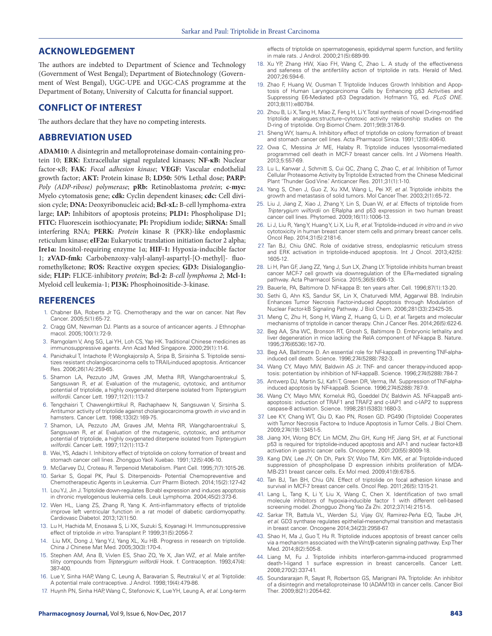#### **ACKNOWLEDGEMENT**

The authors are indebted to Department of Science and Technology (Government of West Bengal); Department of Biotechnology (Government of West Bengal), UGC-UPE and UGC-CAS programme at the Department of Botany, University of Calcutta for financial support.

#### **CONFLICT OF INTEREST**

The authors declare that they have no competing interests.

#### **ABBREVIATION USED**

**ADAM10:** A disintegrin and metalloproteinase domain-containing protein 10; **ERK:** Extracellular signal regulated kinases; **NF-κB:** Nuclear factor-κB; **FAK:** *Focal adhesion kinase*; **VEGF:** Vascular endothelial growth factor; **AKT:** Protein kinase B; **LD50:** 50% Lethal dose; **PARP:** *Poly (ADP-ribose) polymerase*; **pRb:** Retinoblastoma *protein*; **c-myc:**  Myelo cytomatosis gene; **cdk:** Cyclin dependent kinases; **cdc:** Cell division cycle; **DNA:** Deoxyribonucleic acid; **Bcl-xL:** B-cell lymphoma-extra large; **IAP:** Inhibitors of apoptosis proteins; **PLD1:** Phospholipase D1; **FITC:** Fluorescein isothiocyanate; **PI:** Propidium iodide; **SiRNA:** Small interfering RNA; **PERK:** *Protein* kinase R (PKR)-like endoplasmic reticulum kinase; **eIF2α:** Eukaryotic translation initiation factor 2 alpha; **Ire1α:** Inositol-requiring enzyme 1α; **HIF-1:** Hypoxia-inducible factor 1; **zVAD-fmk:** Carbobenzoxy-valyl-alanyl-aspartyl-[O-methyl]- fluoromethylketone; **ROS:** Reactive oxygen species; **GD3:** Disialoganglioside; **FLIP:** FLICE-inhibitory *protein*; **Bcl-2:** *B-cell lymphoma 2*; **Mcl-1:** Myeloid cell leukemia-1; **PI3K:** Phosphoinositide-3-kinase.

#### **REFERENCES**

- 1. Chabner BA, Roberts Jr TG. Chemotherapy and the war on cancer. Nat Rev Cancer. 2005;5(1):65-72.
- 2. Cragg GM, Newman DJ. Plants as a source of anticancer agents. J Ethnopharmacol. 2005;100(1):72-9.
- 3. Ramgolam V, Ang SG, Lai YH, Loh CS, Yap HK. Traditional Chinese medicines as immunosuppressive agents. Ann Acad Med Singapore. 2000;29(1):11-6.
- 4. Panichakul T, Intachote P, Wongkajorsilp A, Sripa B, Sirisinha S. Triptolide sensitizes resistant cholangiocarcinoma cells to TRAIL-induced apoptosis. Anticancer Res. 2006;26(1A):259-65.
- 5. Shamon LA, Pezzuto JM, Graves JM, Metha RR, Wangcharoentrakul S, Sangsuwan R, *et al*. Evaluation of the mutagenic, cytotoxic, and antitumor potential of triptolide, a highly oxygenated diterpene isolated from *Tripterygium wilfordii*. Cancer Lett. 1997;112(1):113-7.
- 6. Tengchaisri T, Chawengkirttikul R, Rachaphaew N, Sangsuwan V, Sirsinha S. Antitumor activity of triptolide against cholangiocarcinoma growth *in vivo* and in hamsters. Cancer Lett. 1998;133(2):169-75.
- 7. Shamon, LA, Pezzuto JM, Graves JM, Mehta RR, Wangcharoentrakul S, Sangsuwan R, *et al*. Evaluation of the mutagenic, cytotoxic, and antitumor potential of triptolide, a highly oxygenated diterpene isolated from *Tripterygium wilfordii*. Cancer Lett. 1997;112(1):113-7.
- 8. Wei, YS, Adachi I. Inhibitory effect of triptolide on colony formation of breast and stomach cancer cell lines. Zhongguo Yaoli Xuebao. 1991;12(5):406-10.
- 9. McGarvey DJ, Croteau R. Terpenoid Metabolism. Plant Cell. 1995;7(7):1015-26.
- 10. Sarkar S, Gopal PK, Paul S. Diterpenoids- Potential Chemopreventive and Chemotherapeutic Agents in Leukemia. Curr Pharm Biotech. 2014;15(2):127-42
- 11. Lou YJ, Jin J. Triptolide down-regulates Bcr-abl expression and induces apoptosis in chronic myelogenous leukemia cells. Leuk Lymphoma. 2004;45(2):373-6.
- 12. Wen HL, Liang ZS, Zhang R, Yang K. Anti-inflammatory effects of triptolide improve left ventricular function in a rat model of diabetic cardiomyopathy. Cardiovasc Diabetol. 2013;12(1):50.
- 13. Lu H, Hachida M, Enosawa S, Li XK, Suzuki S, Koyanagi H. Immunosuppressive effect of triptolide *in vitro*. Transplant P. 1999;31(5):2056-7.
- 14. Liu MX, Dong J, Yang YJ, Yang XL, Xu HB. Progress in research on triptolide. China J Chinese Mat Med. 2005;30(3):170-4.
- 15. Stephen AM, Ana B, Vivlen ES, Shao ZQ, Ye X, Jlan WZ, *et al*. Male antifertility compounds from *Tripterygium wilfordii* Hook. f. Contraception. 1993;47(4): 387-400.
- 16. Lue Y, Sinha HAP, Wang C, Leung A, Baravarian S, Reutrakul V, *et al*. Triptolide: A potential male contraceptive. J Androl. 1998;19(4):479-86.
- 17. Huynh PN, Sinha HAP, Wang C, Stefonovic K, Lue YH, Leung A, *et al*. Long-term

effects of triptolide on spermatogenesis, epididymal sperm function, and fertility in male rats. J Androl. 2000;21(5):689-99.

- 18. Xu YP, Zhang HW, Xiao FH, Wang C, Zhao L. A study of the effectiveness and safeness of the antifertility action of triptolide in rats. Herald of Med. 2007;26:594-6.
- 19. Zhao F, Huang W, Ousman T. Triptolide Induces Growth Inhibition and Apoptosis of Human Laryngocarcinoma Cells by Enhancing p53 Activities and Suppressing E6-Mediated p53 Degradation. Hofmann TG, ed. *PLoS ONE*. 2013;8(11):e80784.
- 20. Zhou B, Li X, Tang H, Miao Z, Feng H, Li Y. Total synthesis of novel D-ring-modified triptolide analogues:structure–cytotoxic activity relationship studies on the D-ring of triptolide. Org Biomol Chem. 2011;9(9):3176-9.
- 21. Sheng WY, Isamu A. Inhibitory effect of triptofide on colony formation of breast and stomach cancer cell lines. Acta Pharmacol Sinica. 1991;12(5):406-l0.
- 22. Owa C, Messina Jr ME, Halaby R. Triptolide induces lysosomal-mediated programmed cell death in MCF-7 breast cancer cells. Int J Womens Health. 2013;5:557-69.
- 23. Lu L, Kanwar J, Schmitt S, Cui QC, Zhang C, Zhao C, *et al*. Inhibition of Tumor Cellular Proteasome Activity by Triptolide Extracted from the Chinese Medicinal Plant 'Thunder God Vine.' Anticancer Res. 2011;31(1):1-10.
- 24. Yang S, Chen J, Guo Z, Xu XM, Wang L, Pei XF, *et al*. Triptolide inhibits the growth and metastasis of solid tumors. Mol Cancer Ther. 2003;2(1):65-72.
- 25. Liu J, Jiang Z, Xiao J, Zhang Y, Lin S, Duan W, *et al*. Effects of triptolide from *Tripterygium wilfordii* on ERalpha and p53 expression in two human breast cancer cell lines. Phytomed. 2009;16(11):1006-13.
- 26. Li J, Liu R, Yang Y, Huang Y, Li X, Liu R, *et al*. Triptolide-induced *in vitro* and *in vivo* cytotoxicity in human breast cancer stem cells and primary breast cancer cells. Oncol Rep. 2014;31(5):2181-6.
- 27. Tan BJ, Chiu GNC. Role of oxidative stress, endoplasmic reticulum stress and ERK activation in triptolide-induced apoptosis. Int J Oncol. 2013;42(5): 1605-12.
- 28. Li H, Pan GF, Jiang ZZ, Yang J, Sun LX, Zhang LY. Triptolide inhibits human breast cancer MCF-7 cell growth via downregulation of the ERα-mediated signaling pathway. Acta Pharmacol Sinica. 2015;36(5):606-13.
- 29. Bauerle, PA, Baltimore D. NF-kappa B: ten years after. Cell. 1996;87(1):13-20.
- 30. Sethi G, Ahn KS, Sandur SK, Lin X, Chaturvedi MM, Aggarwal BB. Indirubin Enhances Tumor Necrosis Factor-induced Apoptosis through Modulation of Nuclear Factor-kB Signaling Pathway. J Biol Chem. 2006;281(33):23425-35.
- 31. Meng C, Zhu H, Song H, Wang Z, Huang G, Li D, *et al*. Targets and molecular mechanisms of triptolide in cancer therapy. Chin J Cancer Res. 2014;26(5):622-6.
- 32. Beg AA, Sha WC, Bronson RT, Ghosh S, Baltimore D. Embryonic lethality and liver degeneration in mice lacking the RelA component of NF-kappa B. Nature. 1995;376(6536):167-70.
- 33. Beg AA, Baltimore D. An essential role for NF-kappaB in preventing TNF-alphainduced cell death. Science. 1996;274(5288):782-3.
- 34. Wang CY, Mayo MW, Baldwin AS Jr. TNF- and cancer therapy-induced apoptosis: potentiation by inhibition of NF-kappaB. Science. 1996;274(5288):784-7.
- 35. Antwerp DJ, Martin SJ, Kafri T, Green DR, Verma, IM. Suppression of TNF-alphainduced apoptosis by NF-kappaB. Science. 1996;274(5288):787-9.
- 36. Wang CY, Mayo MW, Korneluk RG, Goeddel DV, Baldwin AS. NF-kappaB antiapoptosis: induction of TRAF1 and TRAF2 and c-IAP1 and c-IAP2 to suppress caspase-8 activation. Science. 1998;281(5383):1680-3.
- 37. Lee KY, Chang WT, Qiu D, Kao PN, Rosen GD. PG490 (Triptolide) Cooperates with Tumor Necrosis Factor-α to Induce Apoptosis in Tumor Cells. J Biol Chem. 2009;274(19):13451-5.
- 38. Jiang XH, Wong BCY, Lin MCM, Zhu GH, Kung HF, Jiang SH, *et al*. Functional p53 is required for triptolide-induced apoptosis and AP-1 and nuclear factor-kB activation in gastric cancer cells. Oncogene. 2001;20(55):8009-18.
- 39. Kang DW, Lee JY, Oh Dh, Park SY, Woo TM, Kim MK, *et al*. Triptolide-induced suppression of phospholipase D expression inhibits proliferation of MDA-MB-231 breast cancer cells. Ex Mol med. 2009;41(9):678-5.
- 40. Tan BJ, Tan BH, Chiu GN. Effect of triptolide on focal adhesion kinase and survival in MCF-7 breast cancer cells. Oncol Rep. 2011;26(5):1315-21.
- 41. Lang L, Tang K, Li Y, Liu X, Wang C, Chen X. Identification of two small molecule inhibitors of hypoxia-inducible factor 1 with different cell-based screening model. Zhongguo Zhong Yao Za Zhi. 2012;37(14):2151-5.
- 42. Sarkar TR, Battula VL, Werden SJ, Vijay GV, Ramirez-Peña EQ, Taube JH, *et al*. GD3 synthase regulates epithelial-mesenchymal transition and metastasis in breast cancer. Oncogene 2014;34(23):2958-67.
- 43. Shao H, Ma J, Guo T, Hu R. Triptolide induces apoptosis of breast cancer cells via a mechanism associated with the Wnt/β-catenin signaling pathway. Exp Ther Med. 2014;8(2):505-8.
- 44. Liang M, Fu J. Triptolide inhibits interferon-gamma-induced programmed death-1-ligand 1 surface expression in breast cancercells. Cancer Lett. 2008;270(2):337-41.
- 45. Soundararajan R, Sayat R, Robertson GS, Marignani PA. Triptolide: An inhibitor of a disintegrin and metalloproteinase 10 (ADAM10) in cancer cells. Cancer Biol Ther. 2009;8(21):2054-62.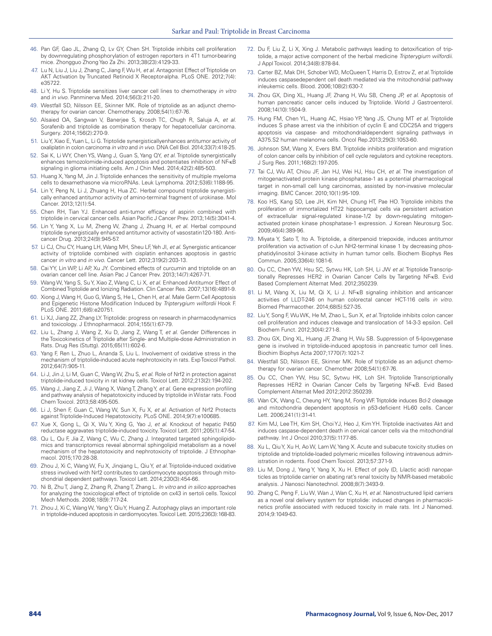- 46. Pan GF, Gao JL, Zhang Q, Lv GY, Chen SH. Triptolide inhibits cell proliferation by downregulating phosphorylation of estrogen reporters in 4T1 tumor-bearing mice. Zhongguo Zhong Yao Za Zhi. 2013;38(23):4129-33.
- 47. Lu N, Liu J, Liu J, Zhang C, Jiang F, Wu H, *et al*. Antagonist Effect of Triptolide on AKT Activation by Truncated Retinoid X Receptor-alpha. PLoS ONE. 2012;7(4): e35722.
- 48. Li Y, Hu S. Triptolide sensitizes liver cancer cell lines to chemotherapy *in vitro* and *in vivo*. Panminerva Med. 2014;56(3):211-20.
- 49. Westfall SD, Nilsson EE, Skinner MK. Role of triptolide as an adjunct chemotherapy for ovarian cancer. Chemotherapy. 2008;54(1):67-76.
- 50. Alsaied OA, Sangwan V, Banerjee S, Krosch TC, Chugh R, Saluja A, *et al*. Sorafenib and triptolide as combination therapy for hepatocellular carcinoma. Surgery. 2014;156(2):270-9.
- 51. Liu Y, Xiao E, Yuan L, Li G. Triptolide synergisticallyenhances antitumor activity of oxaliplatin in colon carcinoma *in vitro* and *in vivo*. DNA Cell Biol. 2014;33(7):418-25.
- 52. Sai K, Li WY, Chen YS, Wang J, Guan S, Yang QY, *et al*. Triptolide synergistically enhances temozolomide-induced apoptosis and potentiates inhibition of NF-κB signaling in glioma initiating cells. Am J Chin Med. 2014;42(2):485-503.
- 53. Huang X, Yang M, Jin J. Triptolide enhances the sensitivity of multiple myeloma cells to dexamethasone via microRNAs. Leuk Lymphoma. 2012;53(6):1188-95.
- 54. Lin Y, Peng N, Li J, Zhuang H, Hua ZC. Herbal compound triptolide synergistically enhanced antitumor activity of amino-terminal fragment of urokinase. Mol Cancer. 2013;12(1):54.
- 55. Chen RH, Tian YJ. Enhanced anti-tumor efficacy of aspirin combined with triptolide in cervical cancer cells. Asian Pacific J Cancer Prev. 2013;14(5):3041-4.
- 56. Lin Y, Yang X, Lu M, Zheng W, Zhang J, Zhuang H, *et al*. Herbal compound triptolide synergistically enhanced antitumor activity of vasostatin120-180. Anticancer Drug. 2013;24(9):945-57.
- 57. Li CJ, Chu CY, Huang LH, Wang MH, Sheu LF, Yeh JI, *et al*. Synergistic anticancer activity of triptolide combined with cisplatin enhances apoptosis in gastric cancer *in vitro* and *in vivo*. Cancer Lett. 2012;319(2):203-13.
- 58. Cai YY, Lin WP, Li AP, Xu JY. Combined effects of curcumin and triptolide on an ovarian cancer cell line. Asian Pac J Cancer Prev. 2013;14(7):4267-71.
- 59. Wang W, Yang S, Su Y, Xiao Z, Wang C, Li X, *et al*. Enhanced Antitumor Effect of Combined Triptolide and Ionizing Radiation. Clin Cancer Res. 2007;13(16):4891-9.
- 60. Xiong J, Wang H, Guo G, Wang S, He L, Chen H, *et al*. Male Germ Cell Apoptosis and Epigenetic Histone Modification Induced by *Tripterygium wilfordii* Hook F. PLoS ONE. 2011;6(6):e20751.
- 61. Li XJ, Jiang ZZ, Zhang LY. Triptolide: progress on research in pharmacodynamics and toxicology. J Ethnopharmacol. 2014;155(1):67-79.
- 62. Liu L, Zhang J, Wang Z, Xu D, Jiang Z, Wang T, *et al*. Gender Differences in the Toxicokinetics of Triptolide after Single- and Multiple-dose Administration in Rats. Drug Res (Stuttg). 2015;65(11):602-6.
- 63. Yang F, Ren L, Zhuo L, Ananda S, Liu L. Involvement of oxidative stress in the mechanism of triptolide-induced acute nephrotoxicity in rats. Exp Toxicol Pathol. 2012;64(7):905-11.
- 64. Li J, Jin J, Li M, Guan C, Wang W, Zhu S, *et al*. Role of Nrf2 in protection against triptolide-induced toxicity in rat kidney cells. Toxicol Lett. 2012;213(2):194-202.
- 65. Wang J, Jiang Z, Ji J, Wang X, Wang T, Zhang Y, *et al*. Gene expression profiling and pathway analysis of hepatotoxicity induced by triptolide in Wistar rats. Food Chem Toxicol. 2013;58:495-505.
- 66. Li J, Shen F, Guan C, Wang W, Sun X, Fu X, *et al*. Activation of Nrf2 Protects against Triptolide-Induced Hepatotoxicity. PLoS ONE. 2014;9(7):e100685.
- 67. Xue X, Gong L, Qi X, Wu Y, Xing G, Yao J, *et al*. Knockout of hepatic P450 reductase aggravates triptolide-induced toxicity. Toxicol Lett. 2011;205(1):47-54.
- 68. Qu L, Qu F, Jia Z, Wang C, Wu C, Zhang J. Integrated targeted sphingolipidomics and transcriptomics reveal abnormal sphingolipid metabolism as a novel mechanism of the hepatotoxicity and nephrotoxicity of triptolide. J Ethnopharmacol. 2015;170:28-38.
- 69. Zhou J, Xi C, Wang W, Fu X, Jinqiang L, Qiu Y, *et al*. Triptolide-induced oxidative stress involved with Nrf2 contributes to cardiomyocyte apoptosis through mitochondrial dependent pathways. Toxicol Lett. 2014;230(3):454-66.
- 70. Ni B, Zhu T, Jiang Z, Zhang R, Zhang T, Zhang L. *In vitro* and *in silico* approaches for analyzing the toxicological effect of triptolide on cx43 in sertoli cells. Toxicol Mech Methods. 2008;18(9):717-24.
- 71. Zhou J, Xi C, Wang W, Yang Y, Qiu Y, Huang Z. Autophagy plays an important role in triptolide-induced apoptosis in cardiomyocytes. Toxicol Lett. 2015;236(3):168-83.
- 72. Du F, Liu Z, Li X, Xing J. Metabolic pathways leading to detoxification of triptolide, a major active component of the herbal medicine *Tripterygium wilfordii*. J Appl Toxicol. 2014;34(8):878-84.
- 73. Carter BZ, Mak DH, Schober WD, McQueen T, Harris D, Estrov Z, *et al*. Triptolide induces caspasedependent cell death mediated via the mitochondrial pathway inleukemic cells. Blood. 2006;108(2):630-7.
- 74. Zhou GX, Ding XL, Huang JF, Zhang H, Wu SB, Cheng JP, *et al*. Apoptosis of human pancreatic cancer cells induced by Triptolide. World J Gastroenterol. 2008;14(10):1504-9.
- 75. Hung FM, Chen YL, Huang AC, Hsiao YP, Yang JS, Chung MT *et al*. Triptolide induces S phase arrest via the inhibition of cyclin E and CDC25A and triggers apoptosis via caspase- and mitochondrialdependent signaling pathways in A375.S2 human melanoma cells. Oncol Rep.2013;29(3):1053-60.
- 76. Johnson SM, Wang X, Evers BM. Triptolide inhibits proliferation and migration of colon cancer cells by inhibition of cell cycle regulators and cytokine receptors. J Surg Res. 2011;168(2):197-205.
- 77. Tai CJ, Wu AT, Chiou JF, Jan HJ, Wei HJ, Hsu CH, *et al*. The investigation of mitogenactivated protein kinase phosphatase-1 as a potential pharmacological target in non-small cell lung carcinomas, assisted by non-invasive molecular imaging. BMC Cancer. 2010;10(1):95-109.
- 78. Koo HS, Kang SD, Lee JH, Kim NH, Chung HT, Pae HO. Triptolide inhibits the proliferation of immortalized HT22 hippocampal cells via persistent activation of extracellular signal-regulated kinase-1/2 by down-regulating mitogenactivated protein kinase phosphatase-1 expression. J Korean Neurosurg Soc. 2009;46(4):389-96.
- 79. Miyata Y, Sato T, Ito A. Triptolide, a diterpenoid triepoxide, induces antitumor proliferation via activation of c-Jun NH2-terminal kinase 1 by decreasing phosphatidylinositol 3-kinase activity in human tumor cells. Biochem Biophys Res Commun. 2005;336(4):1081-6.
- 80. Ou CC, Chen YW, Hsu SC, Sytwu HK, Loh SH, Li JW *et al*. Triptolide Transcriptionally Represses HER2 in Ovarian Cancer Cells by Targeting NF-κB. Evid Based Complement Alternat Med. 2012;350239.
- Li M, Wang X, Liu M, Qi X, Li J. NF-κB signaling inhibition and anticancer activities of LLDT-246 on human colorectal cancer HCT-116 cells *in vitro*. Biomed Pharmacother. 2014;68(5):527-35.
- 82. Liu Y, Song F, Wu WK, He M, Zhao L, Sun X, *et al*. Triptolide inhibits colon cancer cell proliferation and induces cleavage and translocation of 14-3-3 epsilon. Cell Biochem Funct. 2012;30(4):271-8.
- 83. Zhou GX, Ding XL, Huang JF, Zhang H, Wu SB. Suppression of 5-lipoxygenase gene is involved in triptolide-induced apoptosis in pancreatic tumor cell lines. Biochim Biophys Acta 2007;1770(7):1021-7.
- 84. Westfall SD, Nilsson EE, Skinner MK. Role of triptolide as an adjunct chemotherapy for ovarian cancer. Chemother 2008;54(1):67-76.
- 85. Ou CC, Chen YW, Hsu SC, Sytwu HK, Loh SH. Triptolide Transcriptionally Represses HER2 in Ovarian Cancer Cells by Targeting NF-κB. Evid Based Complement Alternat Med 2012;2012:350239.
- 86. Wan CK, Wang C, Cheung HY, Yang M, Fong WF. Triptolide induces Bcl-2 cleavage and mitochondria dependent apoptosis in p53-deficient HL-60 cells. Cancer Lett. 2006;241(1):31-41.
- 87. Kim MJ, Lee TH, Kim SH, Choi YJ, Heo J, Kim YH. Triptolide inactivates Akt and induces caspase-dependent death in cervical cancer cells via the mitochondrial pathway. Int J Oncol 2010;37(5):1177-85.
- 88. Xu L, Qiu Y, Xu H, Ao W, Lam W, Yang X. Acute and subacute toxicity studies on triptolide and triptolide-loaded polymeric micelles following intravenous administration in rodents. Food Chem Toxicol. 2013;57:371-9.
- 89. Liu M, Dong J, Yang Y, Yang X, Xu H. Effect of poly (D, L-lactic acid) nanoparticles as triptolide carrier on abating rat's renal toxicity by NMR-based metabolic analysis. J Nanosci Nanotechnol. 2008;8(7):3493-9.
- 90. Zhang C, Peng F, Liu W, Wan J, Wan C, Xu H, *et al.* Nanostructured lipid carriers as a novel oral delivery system for triptolide: induced changes in pharmacokinetics profile associated with reduced toxicity in male rats. Int J Nanomed. 2014;9:1049-63.